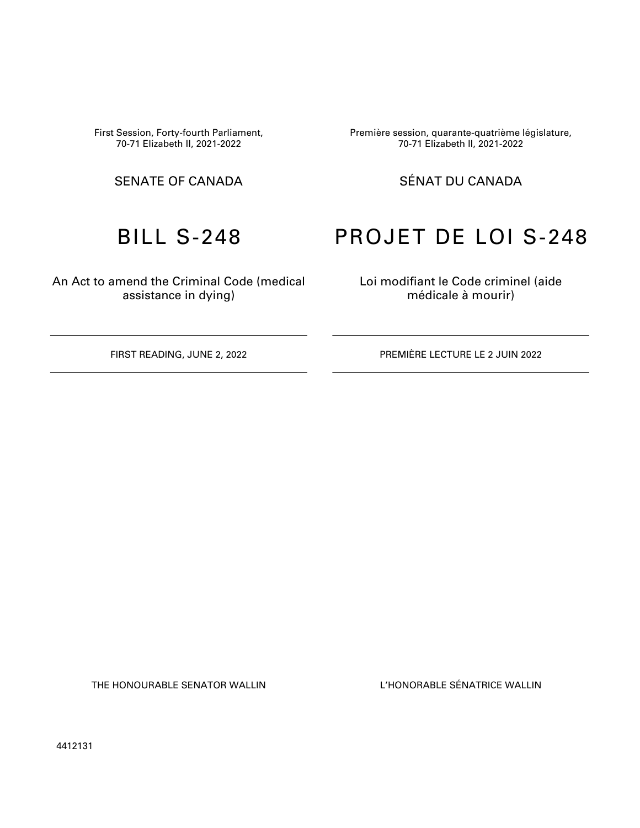First Session, Forty-fourth Parliament, 70-71 Elizabeth II, 2021-2022

An Act to amend the Criminal Code (medical assistance in dying)

Première session, quarante-quatrième législature, 70-71 Elizabeth II, 2021-2022

## SENATE OF CANADA SÉNAT DU CANADA

# BILL S-248 PROJET DE LOI S-248

Loi modifiant le Code criminel (aide médicale à mourir)

FIRST READING, JUNE 2, 2022 PREMIÈRE LECTURE LE 2 JUIN 2022

THE HONOURABLE SENATOR WALLIN L'HONORABLE SÉNATRICE WALLIN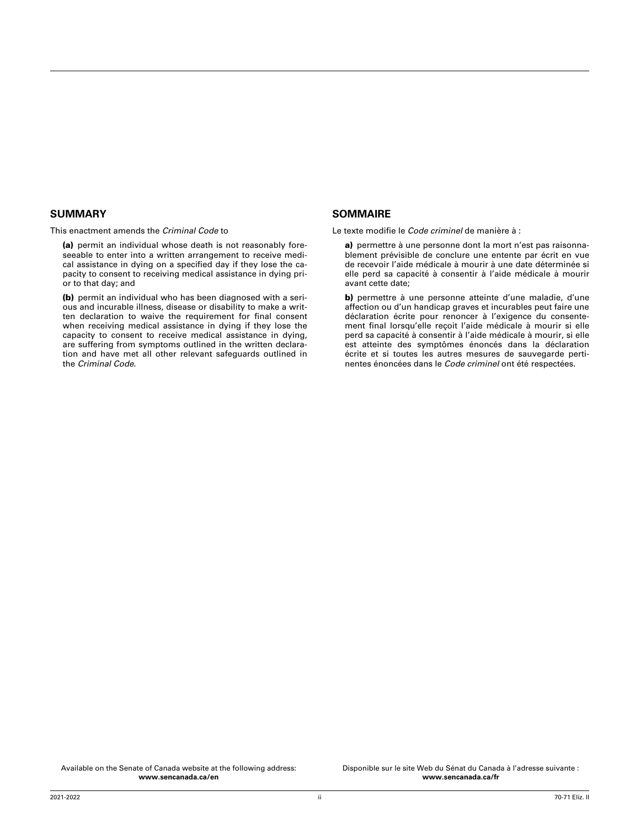#### **SUMMARY**

This enactment amends the *Criminal Code* to

(a) permit an individual whose death is not reasonably foreseeable to enter into a written arrangement to receive medical assistance in dying on a specified day if they lose the capacity to consent to receiving medical assistance in dying prior to that day; and

(b) permit an individual who has been diagnosed with a serious and incurable illness, disease or disability to make a written declaration to waive the requirement for final consent when receiving medical assistance in dying if they lose the capacity to consent to receive medical assistance in dying, are suffering from symptoms outlined in the written declaration and have met all other relevant safeguards outlined in the *Criminal Code*.

#### **SOMMAIRE**

Le texte modifie le *Code criminel* de manière à :

a) permettre à une personne dont la mort n'est pas raisonnablement prévisible de conclure une entente par écrit en vue de recevoir l'aide médicale à mourir à une date déterminée si elle perd sa capacité à consentir à l'aide médicale à mourir avant cette date;

b) permettre à une personne atteinte d'une maladie, d'une affection ou d'un handicap graves et incurables peut faire une déclaration écrite pour renoncer à l'exigence du consentement final lorsqu'elle reçoit l'aide médicale à mourir si elle perd sa capacité à consentir à l'aide médicale à mourir, si elle est atteinte des symptômes énoncés dans la déclaration écrite et si toutes les autres mesures de sauvegarde pertinentes énoncées dans le *Code criminel* ont été respectées.

Available on the Senate of Canada website at the following address: **[www.sencanada.ca/en](http://www.sencanada.ca/en)**

Disponible sur le site Web du Sénat du Canada à l'adresse suivante : **[www.sencanada.ca/fr](http://www.sencanada.ca/fr)**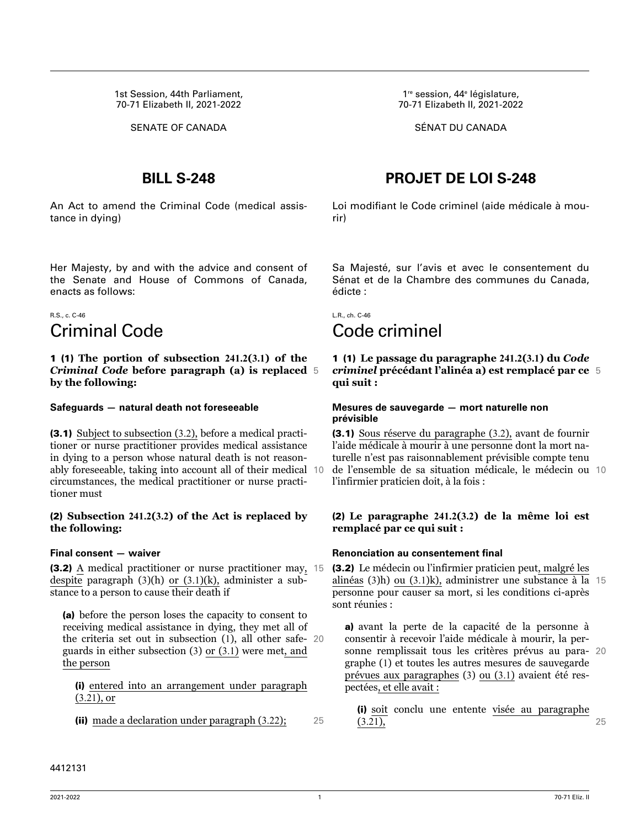1st Session, 44th Parliament, 70-71 Elizabeth II, 2021-2022

An Act to amend the Criminal Code (medical assistance in dying)

Her Majesty, by and with the advice and consent of the Senate and House of Commons of Canada, enacts as follows:

## R.S., c. C-46 Criminal Code

1 (1) **The portion of subsection 241.2(3.1) of the** *Criminal Code* **before paragraph (a) is replaced** 5 **by the following:**

#### **Safeguards — natural death not foreseeable**

(3.1) Subject to subsection (3.2), before a medical practitioner or nurse practitioner provides medical assistance in dying to a person whose natural death is not reasonably foreseeable, taking into account all of their medical 10 circumstances, the medical practitioner or nurse practitioner must

#### (2) **Subsection 241.2(3.2) of the Act is replaced by the following:**

#### **Final consent — waiver**

(3.2) A medical practitioner or nurse practitioner may, 15 despite paragraph (3)(h) or (3.1)(k), administer a substance to a person to cause their death if

(a) before the person loses the capacity to consent to receiving medical assistance in dying, they met all of the criteria set out in subsection (1), all other safe- 20 guards in either subsection (3) or (3.1) were met, and the person

(i) entered into an arrangement under paragraph (3.21), or

(ii) made a declaration under paragraph (3.22); 25

1<sup>re</sup> session, 44<sup>e</sup> législature, 70-71 Elizabeth II, 2021-2022

SENATE OF CANADA SÉNAT DU CANADA

## **BILL S-248 PROJET DE LOI S-248**

Loi modifiant le Code criminel (aide médicale à mourir)

Sa Majesté, sur l'avis et avec le consentement du Sénat et de la Chambre des communes du Canada, édicte :

L.R., ch. C-46 Code criminel

1 (1) **Le passage du paragraphe 241.2(3.1) du** *Code criminel* **précédant l'alinéa a) est remplacé par ce** 5 **qui suit :**

#### **Mesures de sauvegarde — mort naturelle non prévisible**

(3.1) Sous réserve du paragraphe (3.2), avant de fournir l'aide médicale à mourir à une personne dont la mort naturelle n'est pas raisonnablement prévisible compte tenu de l'ensemble de sa situation médicale, le médecin ou 10 l'infirmier praticien doit, à la fois :

#### (2) **Le paragraphe 241.2(3.2) de la même loi est remplacé par ce qui suit :**

#### **Renonciation au consentement final**

(3.2) Le médecin ou l'infirmier praticien peut, malgré les alinéas (3)h) ou (3.1)k), administrer une substance à la 15 personne pour causer sa mort, si les conditions ci-après sont réunies :

a) avant la perte de la capacité de la personne à consentir à recevoir l'aide médicale à mourir, la personne remplissait tous les critères prévus au para- 20 graphe (1) et toutes les autres mesures de sauvegarde prévues aux paragraphes (3) ou (3.1) avaient été respectées, et elle avait :

(i) soit conclu une entente visée au paragraphe (3.21), 25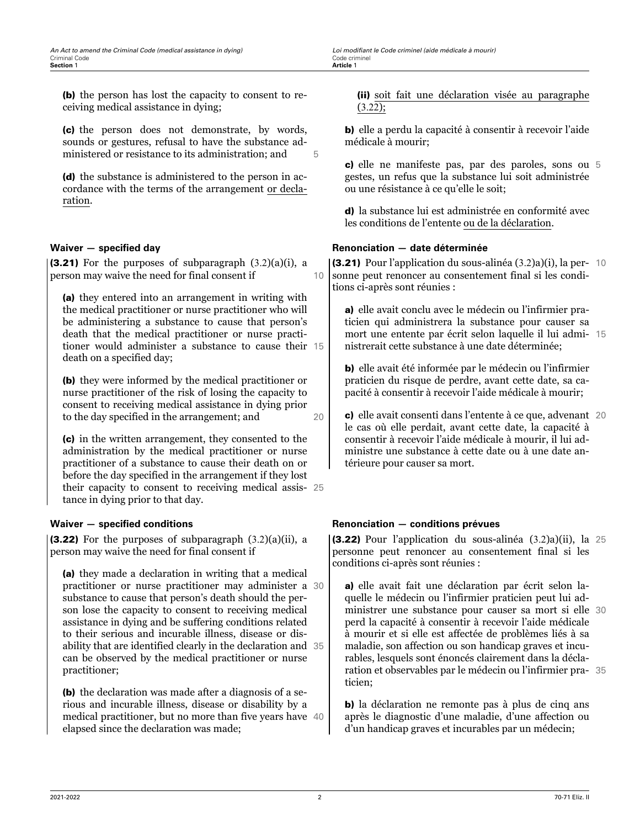(b) the person has lost the capacity to consent to receiving medical assistance in dying;

(c) the person does not demonstrate, by words, sounds or gestures, refusal to have the substance administered or resistance to its administration; and  $5$ 

(d) the substance is administered to the person in accordance with the terms of the arrangement or declaration.

#### **Waiver — specified day**

(3.21) For the purposes of subparagraph  $(3.2)(a)(i)$ , a person may waive the need for final consent if 10

(a) they entered into an arrangement in writing with the medical practitioner or nurse practitioner who will be administering a substance to cause that person's death that the medical practitioner or nurse practitioner would administer a substance to cause their 15 death on a specified day;

(b) they were informed by the medical practitioner or nurse practitioner of the risk of losing the capacity to consent to receiving medical assistance in dying prior to the day specified in the arrangement; and 20

(c) in the written arrangement, they consented to the administration by the medical practitioner or nurse practitioner of a substance to cause their death on or before the day specified in the arrangement if they lost their capacity to consent to receiving medical assis- 25 tance in dying prior to that day.

#### **Waiver — specified conditions**

**(3.22)** For the purposes of subparagraph  $(3.2)(a)(ii)$ , a person may waive the need for final consent if

(a) they made a declaration in writing that a medical practitioner or nurse practitioner may administer a 30 substance to cause that person's death should the person lose the capacity to consent to receiving medical assistance in dying and be suffering conditions related to their serious and incurable illness, disease or disability that are identified clearly in the declaration and 35 can be observed by the medical practitioner or nurse practitioner;

(b) the declaration was made after a diagnosis of a serious and incurable illness, disease or disability by a medical practitioner, but no more than five years have 40 elapsed since the declaration was made;

(ii) soit fait une déclaration visée au paragraphe  $(3.22);$ 

b) elle a perdu la capacité à consentir à recevoir l'aide médicale à mourir;

c) elle ne manifeste pas, par des paroles, sons ou 5 gestes, un refus que la substance lui soit administrée ou une résistance à ce qu'elle le soit;

d) la substance lui est administrée en conformité avec les conditions de l'entente ou de la déclaration.

#### **Renonciation — date déterminée**

(3.21) Pour l'application du sous-alinéa (3.2)a)(i), la per- 10 sonne peut renoncer au consentement final si les conditions ci-après sont réunies :

a) elle avait conclu avec le médecin ou l'infirmier praticien qui administrera la substance pour causer sa mort une entente par écrit selon laquelle il lui admi- 15 nistrerait cette substance à une date déterminée;

b) elle avait été informée par le médecin ou l'infirmier praticien du risque de perdre, avant cette date, sa capacité à consentir à recevoir l'aide médicale à mourir;

c) elle avait consenti dans l'entente à ce que, advenant 20 le cas où elle perdait, avant cette date, la capacité à consentir à recevoir l'aide médicale à mourir, il lui administre une substance à cette date ou à une date antérieure pour causer sa mort.

#### **Renonciation — conditions prévues**

(3.22) Pour l'application du sous-alinéa (3.2)a)(ii), la 25 personne peut renoncer au consentement final si les conditions ci-après sont réunies :

a) elle avait fait une déclaration par écrit selon laquelle le médecin ou l'infirmier praticien peut lui administrer une substance pour causer sa mort si elle 30 perd la capacité à consentir à recevoir l'aide médicale à mourir et si elle est affectée de problèmes liés à sa maladie, son affection ou son handicap graves et incurables, lesquels sont énoncés clairement dans la déclaration et observables par le médecin ou l'infirmier pra- 35 ticien;

b) la déclaration ne remonte pas à plus de cinq ans après le diagnostic d'une maladie, d'une affection ou d'un handicap graves et incurables par un médecin;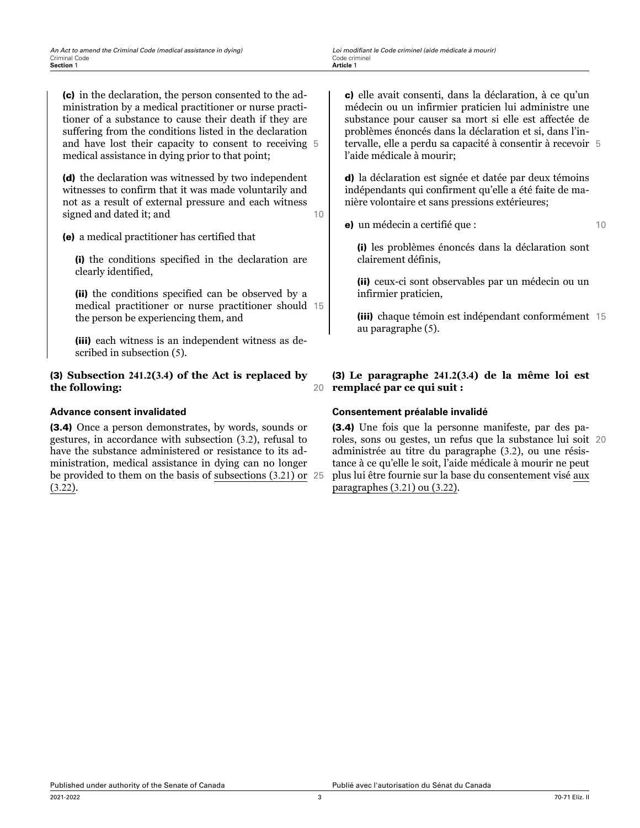(c) in the declaration, the person consented to the administration by a medical practitioner or nurse practitioner of a substance to cause their death if they are suffering from the conditions listed in the declaration and have lost their capacity to consent to receiving 5 medical assistance in dying prior to that point;

(d) the declaration was witnessed by two independent witnesses to confirm that it was made voluntarily and not as a result of external pressure and each witness signed and dated it; and 10

(e) a medical practitioner has certified that

(i) the conditions specified in the declaration are clearly identified,

(ii) the conditions specified can be observed by a medical practitioner or nurse practitioner should 15 the person be experiencing them, and

(iii) each witness is an independent witness as described in subsection (5).

#### (3) **Subsection 241.2(3.4) of the Act is replaced by the following:** 20

#### **Advance consent invalidated**

(3.4) Once a person demonstrates, by words, sounds or gestures, in accordance with subsection (3.2), refusal to have the substance administered or resistance to its administration, medical assistance in dying can no longer be provided to them on the basis of subsections (3.21) or 25 (3.22).

c) elle avait consenti, dans la déclaration, à ce qu'un médecin ou un infirmier praticien lui administre une substance pour causer sa mort si elle est affectée de problèmes énoncés dans la déclaration et si, dans l'intervalle, elle a perdu sa capacité à consentir à recevoir 5 l'aide médicale à mourir;

d) la déclaration est signée et datée par deux témoins indépendants qui confirment qu'elle a été faite de manière volontaire et sans pressions extérieures;

e) un médecin a certifié que : 10

(i) les problèmes énoncés dans la déclaration sont clairement définis,

(ii) ceux-ci sont observables par un médecin ou un infirmier praticien,

(iii) chaque témoin est indépendant conformément 15 au paragraphe (5).

(3) **Le paragraphe 241.2(3.4) de la même loi est remplacé par ce qui suit :**

#### **Consentement préalable invalidé**

(3.4) Une fois que la personne manifeste, par des paroles, sons ou gestes, un refus que la substance lui soit 20 administrée au titre du paragraphe (3.2), ou une résistance à ce qu'elle le soit, l'aide médicale à mourir ne peut plus lui être fournie sur la base du consentement visé aux paragraphes (3.21) ou (3.22).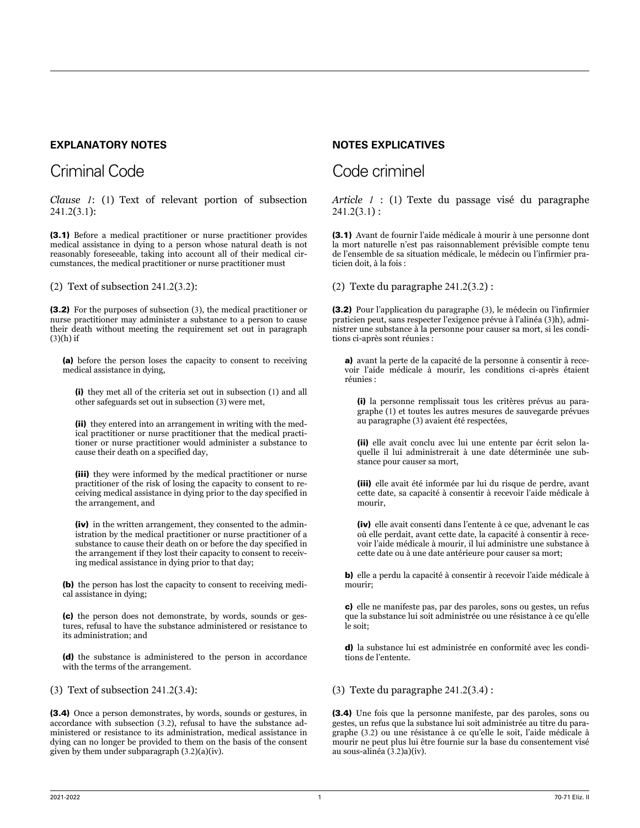### **EXPLANATORY NOTES**

## Criminal Code

*Clause 1*: (1) Text of relevant portion of subsection 241.2(3.1):

(3.1) Before a medical practitioner or nurse practitioner provides medical assistance in dying to a person whose natural death is not reasonably foreseeable, taking into account all of their medical circumstances, the medical practitioner or nurse practitioner must

(2) Text of subsection 241.2(3.2):

(3.2) For the purposes of subsection (3), the medical practitioner or nurse practitioner may administer a substance to a person to cause their death without meeting the requirement set out in paragraph  $(3)(h)$  if

(a) before the person loses the capacity to consent to receiving medical assistance in dying,

(i) they met all of the criteria set out in subsection (1) and all other safeguards set out in subsection (3) were met,

(ii) they entered into an arrangement in writing with the medical practitioner or nurse practitioner that the medical practitioner or nurse practitioner would administer a substance to cause their death on a specified day,

(iii) they were informed by the medical practitioner or nurse practitioner of the risk of losing the capacity to consent to receiving medical assistance in dying prior to the day specified in the arrangement, and

(iv) in the written arrangement, they consented to the administration by the medical practitioner or nurse practitioner of a substance to cause their death on or before the day specified in the arrangement if they lost their capacity to consent to receiving medical assistance in dying prior to that day;

(b) the person has lost the capacity to consent to receiving medical assistance in dying;

(c) the person does not demonstrate, by words, sounds or gestures, refusal to have the substance administered or resistance to its administration; and

(d) the substance is administered to the person in accordance with the terms of the arrangement.

(3) Text of subsection 241.2(3.4):

(3.4) Once a person demonstrates, by words, sounds or gestures, in accordance with subsection (3.2), refusal to have the substance administered or resistance to its administration, medical assistance in dying can no longer be provided to them on the basis of the consent given by them under subparagraph (3.2)(a)(iv).

### **NOTES EXPLICATIVES**

## Code criminel

*Article 1* : (1) Texte du passage visé du paragraphe  $241.2(3.1)$ :

(3.1) Avant de fournir l'aide médicale à mourir à une personne dont la mort naturelle n'est pas raisonnablement prévisible compte tenu de l'ensemble de sa situation médicale, le médecin ou l'infirmier praticien doit, à la fois :

(2) Texte du paragraphe 241.2(3.2) :

(3.2) Pour l'application du paragraphe (3), le médecin ou l'infirmier praticien peut, sans respecter l'exigence prévue à l'alinéa (3)h), administrer une substance à la personne pour causer sa mort, si les conditions ci-après sont réunies :

a) avant la perte de la capacité de la personne à consentir à recevoir l'aide médicale à mourir, les conditions ci-après étaient réunies :

(i) la personne remplissait tous les critères prévus au paragraphe (1) et toutes les autres mesures de sauvegarde prévues au paragraphe (3) avaient été respectées,

(ii) elle avait conclu avec lui une entente par écrit selon laquelle il lui administrerait à une date déterminée une substance pour causer sa mort,

(iii) elle avait été informée par lui du risque de perdre, avant cette date, sa capacité à consentir à recevoir l'aide médicale à mourir,

(iv) elle avait consenti dans l'entente à ce que, advenant le cas où elle perdait, avant cette date, la capacité à consentir à recevoir l'aide médicale à mourir, il lui administre une substance à cette date ou à une date antérieure pour causer sa mort;

b) elle a perdu la capacité à consentir à recevoir l'aide médicale à mourir;

c) elle ne manifeste pas, par des paroles, sons ou gestes, un refus que la substance lui soit administrée ou une résistance à ce qu'elle le soit;

d) la substance lui est administrée en conformité avec les conditions de l'entente.

#### (3) Texte du paragraphe 241.2(3.4) :

(3.4) Une fois que la personne manifeste, par des paroles, sons ou gestes, un refus que la substance lui soit administrée au titre du paragraphe (3.2) ou une résistance à ce qu'elle le soit, l'aide médicale à mourir ne peut plus lui être fournie sur la base du consentement visé au sous-alinéa (3.2)a)(iv).